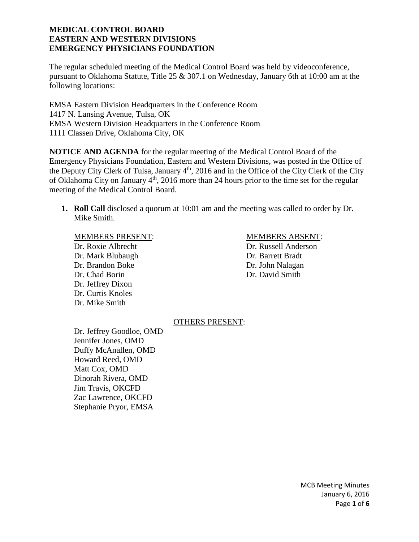The regular scheduled meeting of the Medical Control Board was held by videoconference, pursuant to Oklahoma Statute, Title 25 & 307.1 on Wednesday, January 6th at 10:00 am at the following locations:

EMSA Eastern Division Headquarters in the Conference Room 1417 N. Lansing Avenue, Tulsa, OK EMSA Western Division Headquarters in the Conference Room 1111 Classen Drive, Oklahoma City, OK

**NOTICE AND AGENDA** for the regular meeting of the Medical Control Board of the Emergency Physicians Foundation, Eastern and Western Divisions, was posted in the Office of the Deputy City Clerk of Tulsa, January  $4<sup>th</sup>$ , 2016 and in the Office of the City Clerk of the City of Oklahoma City on January  $4<sup>th</sup>$ , 2016 more than 24 hours prior to the time set for the regular meeting of the Medical Control Board.

**1. Roll Call** disclosed a quorum at 10:01 am and the meeting was called to order by Dr. Mike Smith.

# MEMBERS PRESENT: MEMBERS ABSENT:

Dr. Roxie Albrecht Dr. Russell Anderson Dr. Mark Blubaugh Dr. Barrett Bradt Dr. Brandon Boke Dr. John Nalagan Dr. Chad Borin Dr. David Smith Dr. Jeffrey Dixon Dr. Curtis Knoles Dr. Mike Smith

#### OTHERS PRESENT:

Dr. Jeffrey Goodloe, OMD Jennifer Jones, OMD Duffy McAnallen, OMD Howard Reed, OMD Matt Cox, OMD Dinorah Rivera, OMD Jim Travis, OKCFD Zac Lawrence, OKCFD Stephanie Pryor, EMSA

> MCB Meeting Minutes January 6, 2016 Page **1** of **6**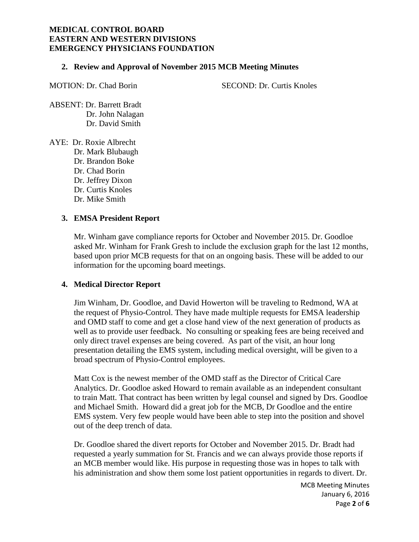#### **2. Review and Approval of November 2015 MCB Meeting Minutes**

MOTION: Dr. Chad Borin SECOND: Dr. Curtis Knoles

ABSENT: Dr. Barrett Bradt Dr. John Nalagan Dr. David Smith

AYE: Dr. Roxie Albrecht Dr. Mark Blubaugh Dr. Brandon Boke Dr. Chad Borin Dr. Jeffrey Dixon Dr. Curtis Knoles Dr. Mike Smith

# **3. EMSA President Report**

Mr. Winham gave compliance reports for October and November 2015. Dr. Goodloe asked Mr. Winham for Frank Gresh to include the exclusion graph for the last 12 months, based upon prior MCB requests for that on an ongoing basis. These will be added to our information for the upcoming board meetings.

#### **4. Medical Director Report**

Jim Winham, Dr. Goodloe, and David Howerton will be traveling to Redmond, WA at the request of Physio-Control. They have made multiple requests for EMSA leadership and OMD staff to come and get a close hand view of the next generation of products as well as to provide user feedback. No consulting or speaking fees are being received and only direct travel expenses are being covered. As part of the visit, an hour long presentation detailing the EMS system, including medical oversight, will be given to a broad spectrum of Physio-Control employees.

Matt Cox is the newest member of the OMD staff as the Director of Critical Care Analytics. Dr. Goodloe asked Howard to remain available as an independent consultant to train Matt. That contract has been written by legal counsel and signed by Drs. Goodloe and Michael Smith. Howard did a great job for the MCB, Dr Goodloe and the entire EMS system. Very few people would have been able to step into the position and shovel out of the deep trench of data.

Dr. Goodloe shared the divert reports for October and November 2015. Dr. Bradt had requested a yearly summation for St. Francis and we can always provide those reports if an MCB member would like. His purpose in requesting those was in hopes to talk with his administration and show them some lost patient opportunities in regards to divert. Dr.

> MCB Meeting Minutes January 6, 2016 Page **2** of **6**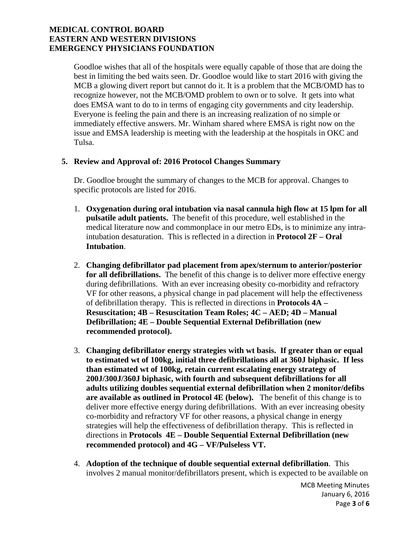Goodloe wishes that all of the hospitals were equally capable of those that are doing the best in limiting the bed waits seen. Dr. Goodloe would like to start 2016 with giving the MCB a glowing divert report but cannot do it. It is a problem that the MCB/OMD has to recognize however, not the MCB/OMD problem to own or to solve. It gets into what does EMSA want to do to in terms of engaging city governments and city leadership. Everyone is feeling the pain and there is an increasing realization of no simple or immediately effective answers. Mr. Winham shared where EMSA is right now on the issue and EMSA leadership is meeting with the leadership at the hospitals in OKC and Tulsa.

#### **5. Review and Approval of: 2016 Protocol Changes Summary**

Dr. Goodloe brought the summary of changes to the MCB for approval. Changes to specific protocols are listed for 2016.

- 1. **Oxygenation during oral intubation via nasal cannula high flow at 15 lpm for all pulsatile adult patients.** The benefit of this procedure, well established in the medical literature now and commonplace in our metro EDs, is to minimize any intraintubation desaturation. This is reflected in a direction in **Protocol 2F – Oral Intubation**.
- 2. **Changing defibrillator pad placement from apex/sternum to anterior/posterior for all defibrillations.** The benefit of this change is to deliver more effective energy during defibrillations. With an ever increasing obesity co-morbidity and refractory VF for other reasons, a physical change in pad placement will help the effectiveness of defibrillation therapy. This is reflected in directions in **Protocols 4A – Resuscitation; 4B – Resuscitation Team Roles; 4C – AED; 4D – Manual Defibrillation; 4E – Double Sequential External Defibrillation (new recommended protocol).**
- 3. **Changing defibrillator energy strategies with wt basis. If greater than or equal to estimated wt of 100kg, initial three defibrillations all at 360J biphasic. If less than estimated wt of 100kg, retain current escalating energy strategy of 200J/300J/360J biphasic, with fourth and subsequent defibrillations for all adults utilizing doubles sequential external defibrillation when 2 monitor/defibs are available as outlined in Protocol 4E (below).** The benefit of this change is to deliver more effective energy during defibrillations. With an ever increasing obesity co-morbidity and refractory VF for other reasons, a physical change in energy strategies will help the effectiveness of defibrillation therapy. This is reflected in directions in **Protocols 4E – Double Sequential External Defibrillation (new recommended protocol) and 4G – VF/Pulseless VT.**
- 4. **Adoption of the technique of double sequential external defibrillation**. This involves 2 manual monitor/defibrillators present, which is expected to be available on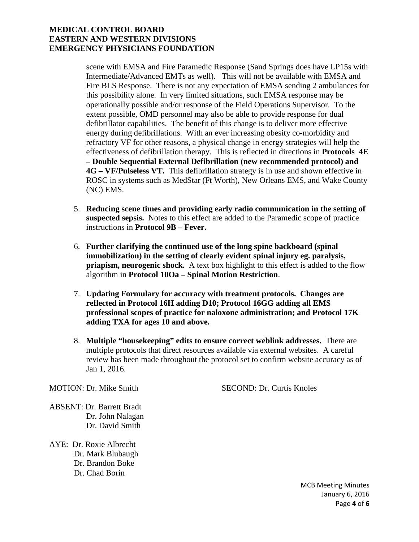scene with EMSA and Fire Paramedic Response (Sand Springs does have LP15s with Intermediate/Advanced EMTs as well). This will not be available with EMSA and Fire BLS Response. There is not any expectation of EMSA sending 2 ambulances for this possibility alone. In very limited situations, such EMSA response may be operationally possible and/or response of the Field Operations Supervisor. To the extent possible, OMD personnel may also be able to provide response for dual defibrillator capabilities. The benefit of this change is to deliver more effective energy during defibrillations. With an ever increasing obesity co-morbidity and refractory VF for other reasons, a physical change in energy strategies will help the effectiveness of defibrillation therapy. This is reflected in directions in **Protocols 4E – Double Sequential External Defibrillation (new recommended protocol) and 4G – VF/Pulseless VT.** This defibrillation strategy is in use and shown effective in ROSC in systems such as MedStar (Ft Worth), New Orleans EMS, and Wake County (NC) EMS.

- 5. **Reducing scene times and providing early radio communication in the setting of suspected sepsis.** Notes to this effect are added to the Paramedic scope of practice instructions in **Protocol 9B – Fever.**
- 6. **Further clarifying the continued use of the long spine backboard (spinal immobilization) in the setting of clearly evident spinal injury eg. paralysis, priapism, neurogenic shock.** A text box highlight to this effect is added to the flow algorithm in **Protocol 10Oa – Spinal Motion Restriction**.
- 7. **Updating Formulary for accuracy with treatment protocols. Changes are reflected in Protocol 16H adding D10; Protocol 16GG adding all EMS professional scopes of practice for naloxone administration; and Protocol 17K adding TXA for ages 10 and above.**
- 8. **Multiple "housekeeping" edits to ensure correct weblink addresses.** There are multiple protocols that direct resources available via external websites. A careful review has been made throughout the protocol set to confirm website accuracy as of Jan 1, 2016.

MOTION: Dr. Mike Smith SECOND: Dr. Curtis Knoles

- ABSENT: Dr. Barrett Bradt Dr. John Nalagan Dr. David Smith
- AYE: Dr. Roxie Albrecht Dr. Mark Blubaugh Dr. Brandon Boke Dr. Chad Borin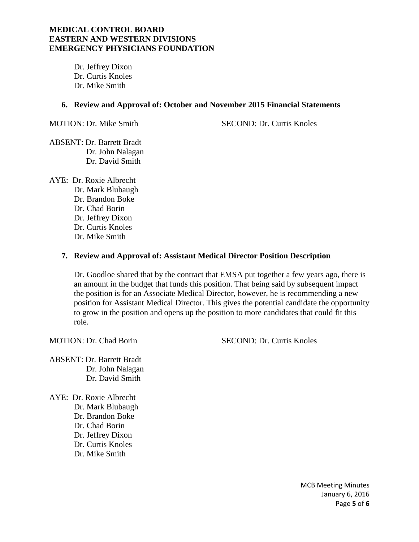Dr. Jeffrey Dixon Dr. Curtis Knoles Dr. Mike Smith

#### **6. Review and Approval of: October and November 2015 Financial Statements**

MOTION: Dr. Mike Smith SECOND: Dr. Curtis Knoles

ABSENT: Dr. Barrett Bradt Dr. John Nalagan Dr. David Smith

AYE: Dr. Roxie Albrecht Dr. Mark Blubaugh

Dr. Brandon Boke Dr. Chad Borin Dr. Jeffrey Dixon Dr. Curtis Knoles Dr. Mike Smith

#### **7. Review and Approval of: Assistant Medical Director Position Description**

Dr. Goodloe shared that by the contract that EMSA put together a few years ago, there is an amount in the budget that funds this position. That being said by subsequent impact the position is for an Associate Medical Director, however, he is recommending a new position for Assistant Medical Director. This gives the potential candidate the opportunity to grow in the position and opens up the position to more candidates that could fit this role.

MOTION: Dr. Chad Borin SECOND: Dr. Curtis Knoles

ABSENT: Dr. Barrett Bradt Dr. John Nalagan Dr. David Smith

AYE: Dr. Roxie Albrecht Dr. Mark Blubaugh Dr. Brandon Boke Dr. Chad Borin Dr. Jeffrey Dixon Dr. Curtis Knoles Dr. Mike Smith

> MCB Meeting Minutes January 6, 2016 Page **5** of **6**